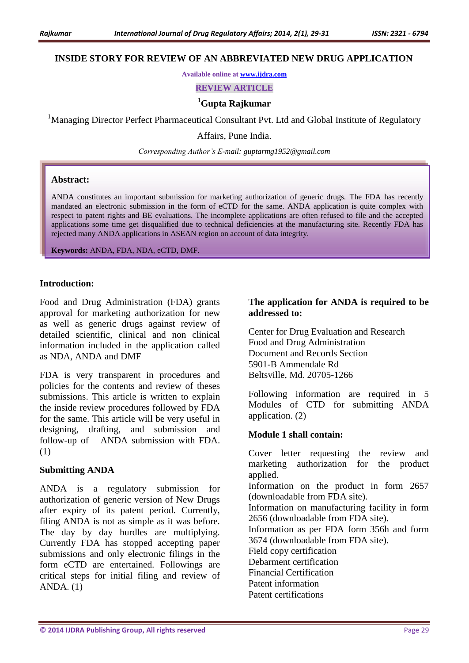### **INSIDE STORY FOR REVIEW OF AN ABBREVIATED NEW DRUG APPLICATION**

**Available online at [www.ijdra.com](http://www.ijdra.com/)**

**REVIEW ARTICLE**

# **<sup>1</sup>Gupta Rajkumar**

<sup>1</sup>Managing Director Perfect Pharmaceutical Consultant Pvt. Ltd and Global Institute of Regulatory

Affairs, Pune India.

*Corresponding Author's E-mail: guptarmg1952@gmail.com*

#### **Abstract:**

ANDA constitutes an important submission for marketing authorization of generic drugs. The FDA has recently mandated an electronic submission in the form of eCTD for the same. ANDA application is quite complex with respect to patent rights and BE evaluations. The incomplete applications are often refused to file and the accepted applications some time get disqualified due to technical deficiencies at the manufacturing site. Recently FDA has rejected many ANDA applications in ASEAN region on account of data integrity.

**Keywords:** ANDA, FDA, NDA, eCTD, DMF.

#### **Introduction:**

Food and Drug Administration (FDA) grants approval for marketing authorization for new as well as generic drugs against review of detailed scientific, clinical and non clinical information included in the application called as NDA, ANDA and DMF

FDA is very transparent in procedures and policies for the contents and review of theses submissions. This article is written to explain the inside review procedures followed by FDA for the same. This article will be very useful in designing, drafting, and submission and follow-up of ANDA submission with FDA. (1)

#### **Submitting ANDA**

ANDA is a regulatory submission for authorization of generic version of New Drugs after expiry of its patent period. Currently, filing ANDA is not as simple as it was before. The day by day hurdles are multiplying. Currently FDA has stopped accepting paper submissions and only electronic filings in the form eCTD are entertained. Followings are critical steps for initial filing and review of ANDA. (1)

### **The application for ANDA is required to be addressed to:**

Center for Drug Evaluation and Research Food and Drug Administration Document and Records Section 5901-B Ammendale Rd Beltsville, Md. 20705-1266

Following information are required in 5 Modules of CTD for submitting ANDA application. (2)

### **Module 1 shall contain:**

Cover letter requesting the review and marketing authorization for the product applied. Information on the product in form 2657 (downloadable from FDA site). Information on manufacturing facility in form 2656 (downloadable from FDA site). Information as per FDA form 356h and form 3674 (downloadable from FDA site). Field copy certification Debarment certification Financial Certification Patent information Patent certifications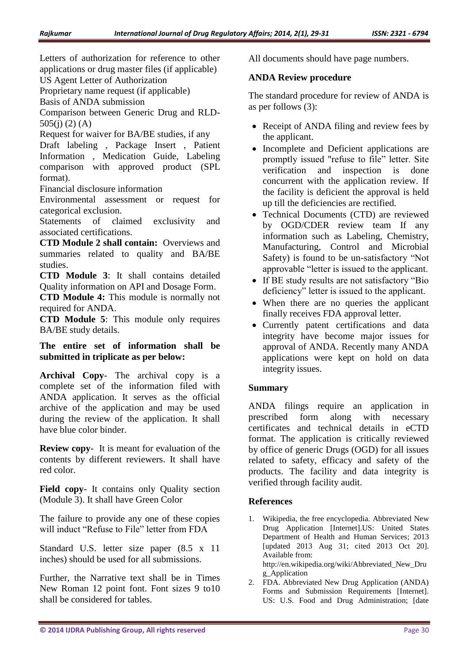Letters of authorization for reference to other applications or drug master files (if applicable) US Agent Letter of Authorization

Proprietary name request (if applicable)

Basis of ANDA submission

Comparison between Generic Drug and RLD- $505(i)$  (2) (A)

Request for waiver for BA/BE studies, if any

Draft labeling , Package Insert , Patient Information , Medication Guide, Labeling comparison with approved product (SPL format).

Financial disclosure information

Environmental assessment or request for categorical exclusion.

Statements of claimed exclusivity and associated certifications.

**CTD Module 2 shall contain:** Overviews and summaries related to quality and BA/BE studies.

**CTD Module 3**: It shall contains detailed Quality information on API and Dosage Form.

**CTD Module 4:** This module is normally not required for ANDA.

**CTD Module 5**: This module only requires BA/BE study details.

**The entire set of information shall be submitted in triplicate as per below:**

**Archival Copy**- The archival copy is a complete set of the information filed with ANDA application. It serves as the official archive of the application and may be used during the review of the application. It shall have blue color binder.

**Review copy**- It is meant for evaluation of the contents by different reviewers. It shall have red color.

**Field copy**- It contains only Quality section (Module 3). It shall have Green Color

The failure to provide any one of these copies will induct "Refuse to File" letter from FDA

Standard U.S. letter size paper (8.5 x 11 inches) should be used for all submissions.

Further, the Narrative text shall be in Times New Roman 12 point font. Font sizes 9 to10 shall be considered for tables.

All documents should have page numbers.

# **ANDA Review procedure**

The standard procedure for review of ANDA is as per follows (3):

- Receipt of ANDA filing and review fees by the applicant.
- Incomplete and Deficient applications are promptly issued "refuse to file" letter. Site verification and inspection is done concurrent with the application review. If the facility is deficient the approval is held up till the deficiencies are rectified.
- Technical Documents (CTD) are reviewed by OGD/CDER review team If any information such as Labeling, Chemistry, Manufacturing, Control and Microbial Safety) is found to be un-satisfactory "Not approvable "letter is issued to the applicant.
- If BE study results are not satisfactory "Bio deficiency" letter is issued to the applicant.
- When there are no queries the applicant finally receives FDA approval letter.
- Currently patent certifications and data integrity have become major issues for approval of ANDA. Recently many ANDA applications were kept on hold on data integrity issues.

# **Summary**

ANDA filings require an application in prescribed form along with necessary certificates and technical details in eCTD format. The application is critically reviewed by office of generic Drugs (OGD) for all issues related to safety, efficacy and safety of the products. The facility and data integrity is verified through facility audit.

### **References**

- 1. Wikipedia, the free encyclopedia. Abbreviated New Drug Application [Internet].US: United States Department of Health and Human Services; 2013 [updated 2013 Aug 31; cited 2013 Oct 20]. Available from: http://en.wikipedia.org/wiki/Abbreviated\_New\_Dru g\_Application
- 2. FDA. Abbreviated New Drug Application (ANDA) Forms and Submission Requirements [Internet]. US: U.S. Food and Drug Administration; [date